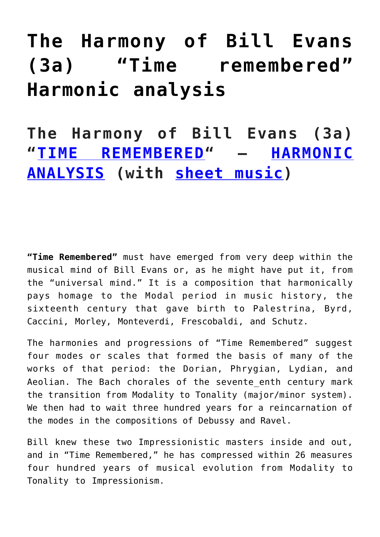## **[The Harmony of Bill Evans](https://sheetmusiclibrary.website/2022/01/25/harmony-of-bill-evans/) [\(3a\) "Time remembered"](https://sheetmusiclibrary.website/2022/01/25/harmony-of-bill-evans/) [Harmonic analysis](https://sheetmusiclibrary.website/2022/01/25/harmony-of-bill-evans/)**

**The Harmony of Bill Evans (3a) "[TIME REMEMBERED](https://www.youtube.com/watch?v=-jMymWD8bcE)" – [HARMONIC](https://sheetmusiclibrary.website/) [ANALYSIS](https://sheetmusiclibrary.website/) (with [sheet music](https://sheetmusiclibrary.website/))**

**"Time Remembered"** must have emerged from very deep within the musical mind of Bill Evans or, as he might have put it, from the "universal mind." It is a composition that harmonically pays homage to the Modal period in music history, the sixteenth century that gave birth to Palestrina, Byrd, Caccini, Morley, Monteverdi, Frescobaldi, and Schutz.

The harmonies and progressions of "Time Remembered" suggest four modes or scales that formed the basis of many of the works of that period: the Dorian, Phrygian, Lydian, and Aeolian. The Bach chorales of the sevente enth century mark the transition from Modality to Tonality (major/minor system). We then had to wait three hundred years for a reincarnation of the modes in the compositions of Debussy and Ravel.

Bill knew these two Impressionistic masters inside and out, and in "Time Remembered," he has compressed within 26 measures four hundred years of musical evolution from Modality to Tonality to Impressionism.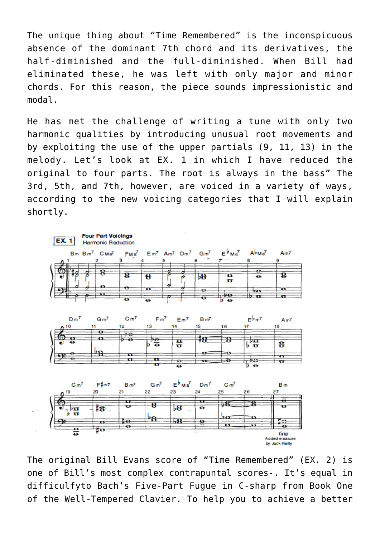The unique thing about "Time Remembered" is the inconspicuous absence of the dominant 7th chord and its derivatives, the half-diminished and the full-diminished. When Bill had eliminated these, he was left with only major and minor chords. For this reason, the piece sounds impressionistic and modal.

He has met the challenge of writing a tune with only two harmonic qualities by introducing unusual root movements and by exploiting the use of the upper partials (9, 11, 13) in the melody. Let's look at EX. 1 in which I have reduced the original to four parts. The root is always in the bass" The 3rd, 5th, and 7th, however, are voiced in a variety of ways, according to the new voicing categories that I will explain shortly.



The original Bill Evans score of "Time Remembered" (EX. 2) is one of Bill's most complex contrapuntal scores-. It's equal in difficulfyto Bach's Five-Part Fugue in C-sharp from Book One of the Well-Tempered Clavier. To help you to achieve a better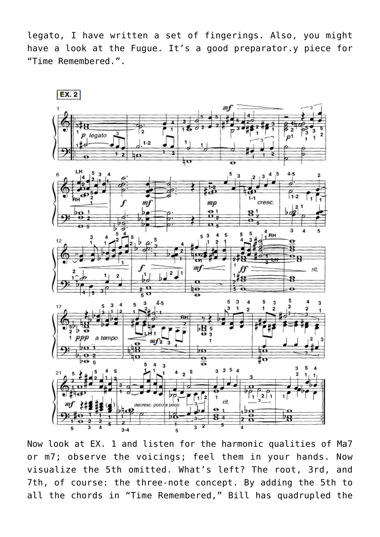legato, I have written a set of fingerings. Also, you might have a look at the Fugue. It's a good preparator.y piece for "Time Remembered.".



Now look at EX. 1 and listen for the harmonic qualities of Ma7 or m7; observe the voicings; feel them in your hands. Now visualize the 5th omitted. What's left? The root, 3rd, and 7th, of course: the three-note concept. By adding the 5th to all the chords in "Time Remembered," Bill has quadrupled the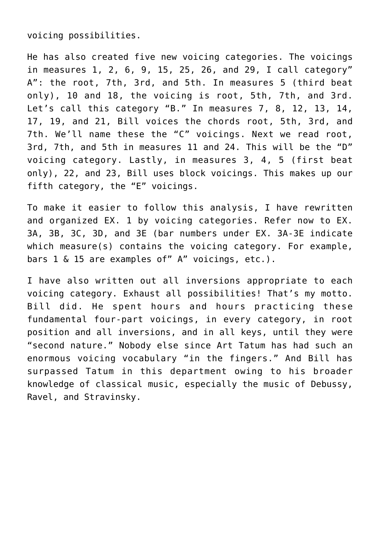voicing possibilities.

He has also created five new voicing categories. The voicings in measures 1, 2, 6, 9, 15, 25, 26, and 29, I call category" A": the root, 7th, 3rd, and 5th. In measures 5 (third beat only), 10 and 18, the voicing is root, 5th, 7th, and 3rd. Let's call this category "B." In measures 7, 8, 12, 13, 14, 17, 19, and 21, Bill voices the chords root, 5th, 3rd, and 7th. We'll name these the "C" voicings. Next we read root, 3rd, 7th, and 5th in measures 11 and 24. This will be the "D" voicing category. Lastly, in measures 3, 4, 5 (first beat only), 22, and 23, Bill uses block voicings. This makes up our fifth category, the "E" voicings.

To make it easier to follow this analysis, I have rewritten and organized EX. 1 by voicing categories. Refer now to EX. 3A, 3B, 3C, 3D, and 3E (bar numbers under EX. 3A-3E indicate which measure(s) contains the voicing category. For example, bars 1 & 15 are examples of" A" voicings, etc.).

I have also written out all inversions appropriate to each voicing category. Exhaust all possibilities! That's my motto. Bill did. He spent hours and hours practicing these fundamental four-part voicings, in every category, in root position and all inversions, and in all keys, until they were "second nature." Nobody else since Art Tatum has had such an enormous voicing vocabulary "in the fingers." And Bill has surpassed Tatum in this department owing to his broader knowledge of classical music, especially the music of Debussy, Ravel, and Stravinsky.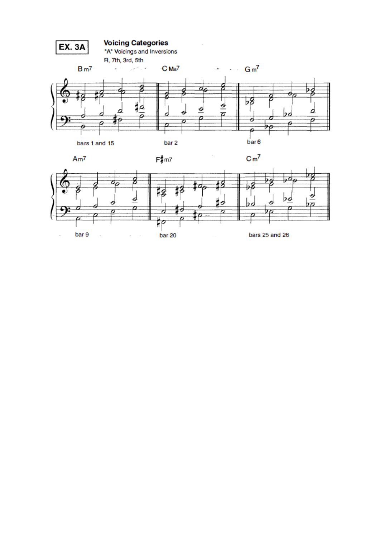

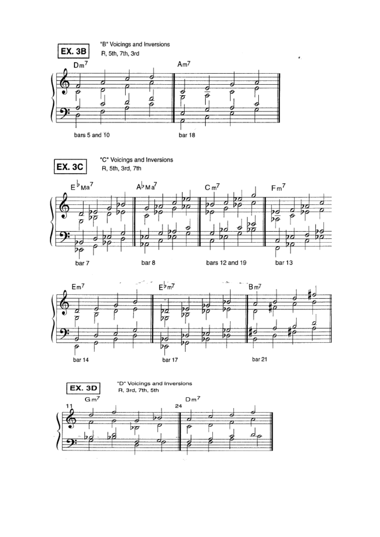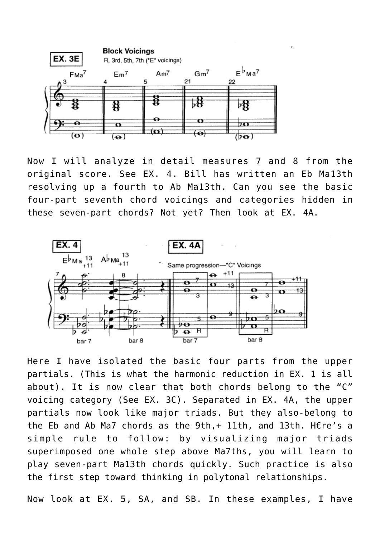

Now I will analyze in detail measures 7 and 8 from the original score. See EX. 4. Bill has written an Eb Ma13th resolving up a fourth to Ab Ma13th. Can you see the basic four-part seventh chord voicings and categories hidden in these seven-part chords? Not yet? Then look at EX. 4A.



Here I have isolated the basic four parts from the upper partials. (This is what the harmonic reduction in EX. 1 is all about). It is now clear that both chords belong to the "C" voicing category (See EX. 3C). Separated in EX. 4A, the upper partials now look like major triads. But they also-belong to the Eb and Ab Ma7 chords as the 9th,+ 11th, and 13th. H€re's a simple rule to follow: by visualizing major triads superimposed one whole step above Ma7ths, you will learn to play seven-part Ma13th chords quickly. Such practice is also the first step toward thinking in polytonal relationships.

Now look at EX. 5, SA, and SB. In these examples, I have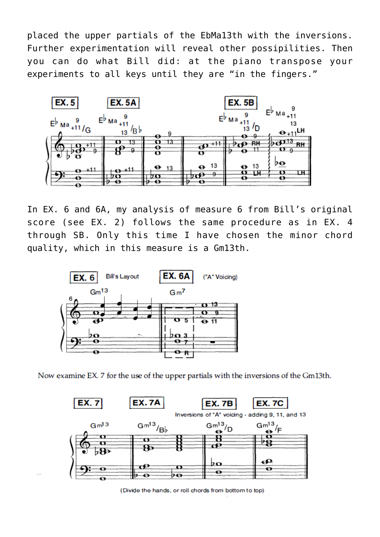placed the upper partials of the EbMa13th with the inversions. Further experimentation will reveal other possipilities. Then you can do what Bill did: at the piano transpose your experiments to all keys until they are "in the fingers."



In EX. 6 and 6A, my analysis of measure 6 from Bill's original score (see EX. 2) follows the same procedure as in EX. 4 through SB. Only this time I have chosen the minor chord quality, which in this measure is a Gm13th.



Now examine EX. 7 for the use of the upper partials with the inversions of the Gm13th.



(Divide the hands, or roll chords from bottom to top)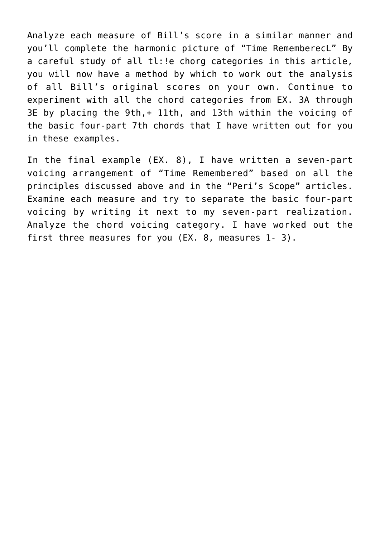Analyze each measure of Bill's score in a similar manner and you'll complete the harmonic picture of "Time RememberecL" By a careful study of all tl:!e chorg categories in this article, you will now have a method by which to work out the analysis of all Bill's original scores on your own. Continue to experiment with all the chord categories from EX. 3A through 3E by placing the 9th,+ 11th, and 13th within the voicing of the basic four-part 7th chords that I have written out for you in these examples.

In the final example (EX. 8), I have written a seven-part voicing arrangement of "Time Remembered" based on all the principles discussed above and in the "Peri's Scope" articles. Examine each measure and try to separate the basic four-part voicing by writing it next to my seven-part realization. Analyze the chord voicing category. I have worked out the first three measures for you (EX. 8, measures 1-3).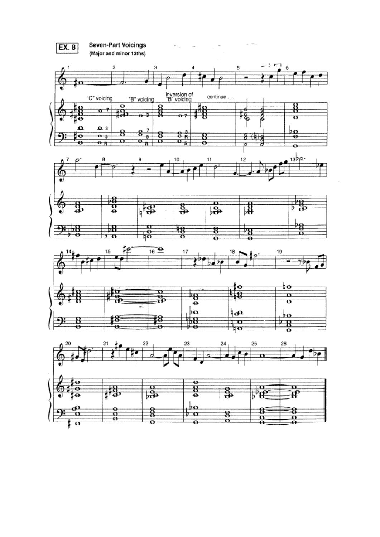